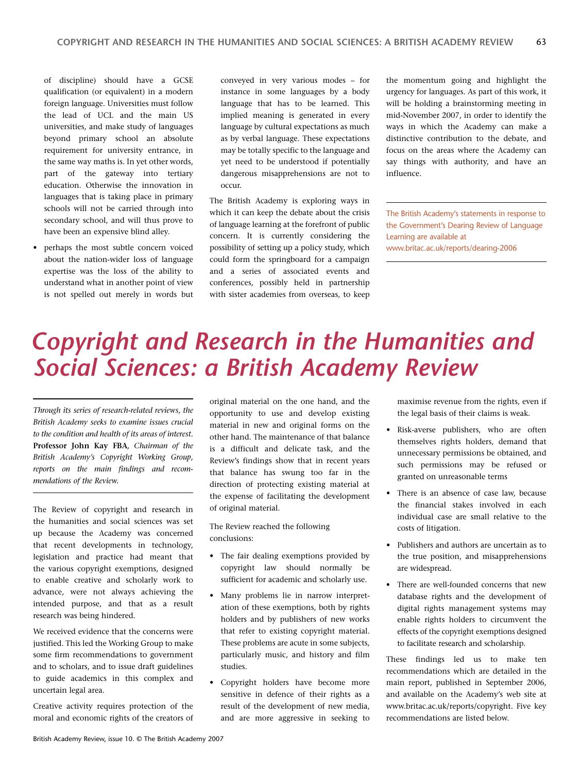## *Copyright and Research in the Humanities and Social Sciences: a British Academy Review*

*Through its series of research-related reviews, the British Academy seeks to examine issues crucial to the condition and health of its areas of interest.* **Professor John Kay FBA***, Chairman of the British Academy's Copyright Working Group, reports on the main findings and recommendations of the Review.*

The Review of copyright and research in the humanities and social sciences was set up because the Academy was concerned that recent developments in technology, legislation and practice had meant that the various copyright exemptions, designed to enable creative and scholarly work to advance, were not always achieving the intended purpose, and that as a result research was being hindered.

We received evidence that the concerns were justified. This led the Working Group to make some firm recommendations to government and to scholars, and to issue draft guidelines to guide academics in this complex and uncertain legal area.

Creative activity requires protection of the moral and economic rights of the creators of original material on the one hand, and the opportunity to use and develop existing material in new and original forms on the other hand. The maintenance of that balance is a difficult and delicate task, and the Review's findings show that in recent years that balance has swung too far in the direction of protecting existing material at the expense of facilitating the development of original material.

The Review reached the following conclusions:

- The fair dealing exemptions provided by copyright law should normally be sufficient for academic and scholarly use.
- Many problems lie in narrow interpretation of these exemptions, both by rights holders and by publishers of new works that refer to existing copyright material. These problems are acute in some subjects, particularly music, and history and film studies.
- Copyright holders have become more sensitive in defence of their rights as a result of the development of new media, and are more aggressive in seeking to

maximise revenue from the rights, even if the legal basis of their claims is weak.

- Risk-averse publishers, who are often themselves rights holders, demand that unnecessary permissions be obtained, and such permissions may be refused or granted on unreasonable terms
- There is an absence of case law, because the financial stakes involved in each individual case are small relative to the costs of litigation.
- Publishers and authors are uncertain as to the true position, and misapprehensions are widespread.
- There are well-founded concerns that new database rights and the development of digital rights management systems may enable rights holders to circumvent the effects of the copyright exemptions designed to facilitate research and scholarship.

These findings led us to make ten recommendations which are detailed in the main report, published in September 2006, and available on the Academy's web site at www.britac.ac.uk/reports/copyright. Five key recommendations are listed below.